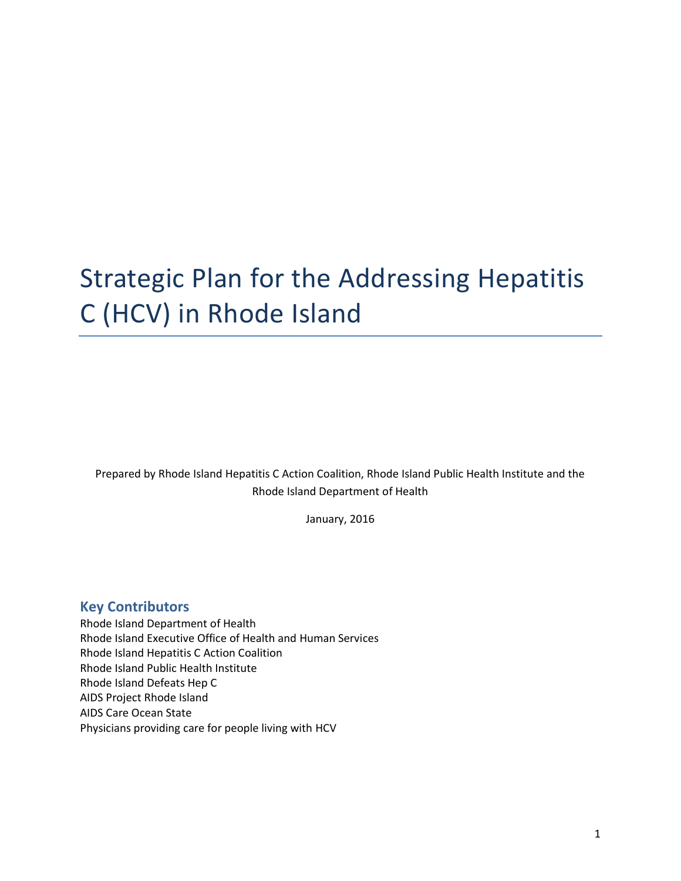# Strategic Plan for the Addressing Hepatitis C (HCV) in Rhode Island

Prepared by Rhode Island Hepatitis C Action Coalition, Rhode Island Public Health Institute and the Rhode Island Department of Health

January, 2016

### **Key Contributors**

Rhode Island Department of Health Rhode Island Executive Office of Health and Human Services Rhode Island Hepatitis C Action Coalition Rhode Island Public Health Institute Rhode Island Defeats Hep C AIDS Project Rhode Island AIDS Care Ocean State Physicians providing care for people living with HCV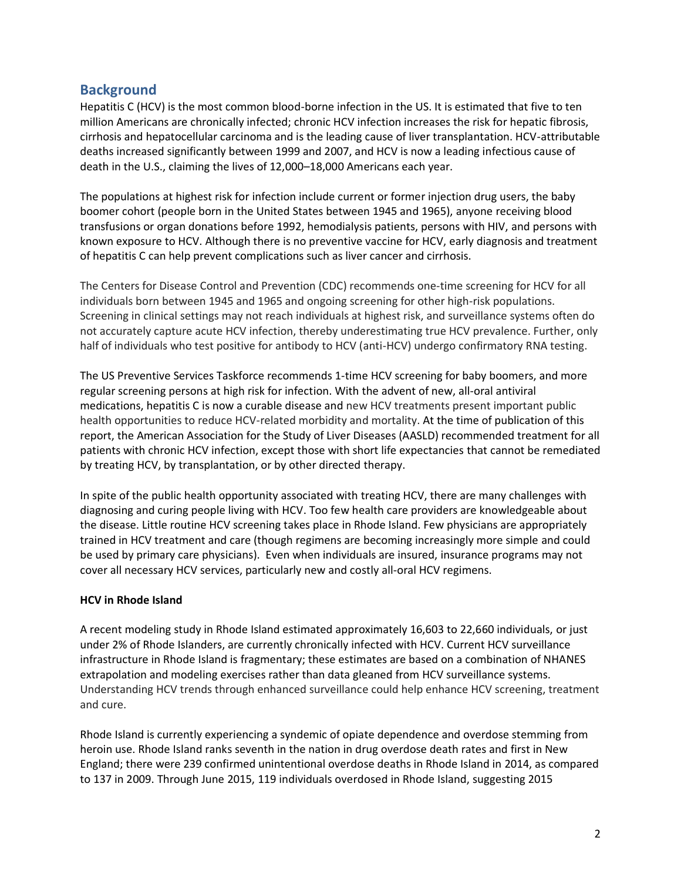# **Background**

Hepatitis C (HCV) is the most common blood-borne infection in the US. It is estimated that five to ten million Americans are chronically infected; chronic HCV infection increases the risk for hepatic fibrosis, cirrhosis and hepatocellular carcinoma and is the leading cause of liver transplantation. HCV-attributable deaths increased significantly between 1999 and 2007, and HCV is now a leading infectious cause of death in the U.S., claiming the lives of 12,000–18,000 Americans each year.

The populations at highest risk for infection include current or former injection drug users, the baby boomer cohort (people born in the United States between 1945 and 1965), anyone receiving blood transfusions or organ donations before 1992, hemodialysis patients, persons with HIV, and persons with known exposure to HCV. Although there is no preventive vaccine for HCV, early diagnosis and treatment of hepatitis C can help prevent complications such as liver cancer and cirrhosis.

The Centers for Disease Control and Prevention (CDC) recommends one-time screening for HCV for all individuals born between 1945 and 1965 and ongoing screening for other high-risk populations. Screening in clinical settings may not reach individuals at highest risk, and surveillance systems often do not accurately capture acute HCV infection, thereby underestimating true HCV prevalence. Further, only half of individuals who test positive for antibody to HCV (anti-HCV) undergo confirmatory RNA testing.

The US Preventive Services Taskforce recommends 1-time HCV screening for baby boomers, and more regular screening persons at high risk for infection. With the advent of new, all-oral antiviral medications, hepatitis C is now a curable disease and new HCV treatments present important public health opportunities to reduce HCV-related morbidity and mortality. At the time of publication of this report, the American Association for the Study of Liver Diseases (AASLD) recommended treatment for all patients with chronic HCV infection, except those with short life expectancies that cannot be remediated by treating HCV, by transplantation, or by other directed therapy.

In spite of the public health opportunity associated with treating HCV, there are many challenges with diagnosing and curing people living with HCV. Too few health care providers are knowledgeable about the disease. Little routine HCV screening takes place in Rhode Island. Few physicians are appropriately trained in HCV treatment and care (though regimens are becoming increasingly more simple and could be used by primary care physicians). Even when individuals are insured, insurance programs may not cover all necessary HCV services, particularly new and costly all-oral HCV regimens.

#### **HCV in Rhode Island**

A recent modeling study in Rhode Island estimated approximately 16,603 to 22,660 individuals, or just under 2% of Rhode Islanders, are currently chronically infected with HCV. Current HCV surveillance infrastructure in Rhode Island is fragmentary; these estimates are based on a combination of NHANES extrapolation and modeling exercises rather than data gleaned from HCV surveillance systems. Understanding HCV trends through enhanced surveillance could help enhance HCV screening, treatment and cure.

Rhode Island is currently experiencing a syndemic of opiate dependence and overdose stemming from heroin use. Rhode Island ranks seventh in the nation in drug overdose death rates and first in New England; there were 239 confirmed unintentional overdose deaths in Rhode Island in 2014, as compared to 137 in 2009. Through June 2015, 119 individuals overdosed in Rhode Island, suggesting 2015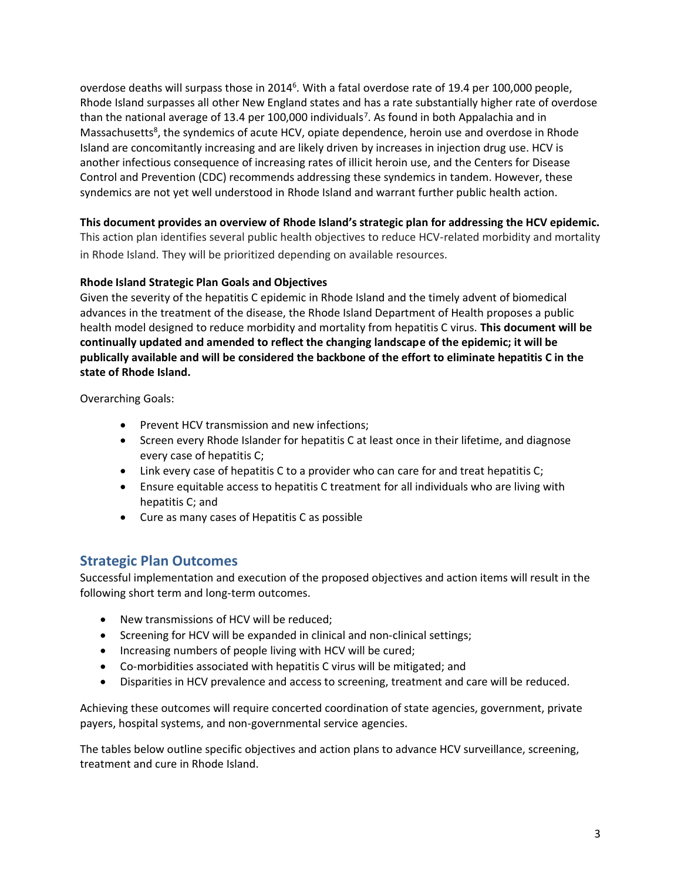overdose deaths will surpass those in 2014<sup>6</sup>. With a fatal overdose rate of 19.4 per 100,000 people, Rhode Island surpasses all other New England states and has a rate substantially higher rate of overdose than the national average of 13.4 per 100,000 individuals<sup>7</sup>. As found in both Appalachia and in Massachusetts<sup>8</sup>, the syndemics of acute HCV, opiate dependence, heroin use and overdose in Rhode Island are concomitantly increasing and are likely driven by increases in injection drug use. HCV is another infectious consequence of increasing rates of illicit heroin use, and the Centers for Disease Control and Prevention (CDC) recommends addressing these syndemics in tandem. However, these syndemics are not yet well understood in Rhode Island and warrant further public health action.

**This document provides an overview of Rhode Island's strategic plan for addressing the HCV epidemic.**  This action plan identifies several public health objectives to reduce HCV-related morbidity and mortality

in Rhode Island. They will be prioritized depending on available resources.

#### **Rhode Island Strategic Plan Goals and Objectives**

Given the severity of the hepatitis C epidemic in Rhode Island and the timely advent of biomedical advances in the treatment of the disease, the Rhode Island Department of Health proposes a public health model designed to reduce morbidity and mortality from hepatitis C virus. **This document will be continually updated and amended to reflect the changing landscape of the epidemic; it will be publically available and will be considered the backbone of the effort to eliminate hepatitis C in the state of Rhode Island.** 

Overarching Goals:

- Prevent HCV transmission and new infections;
- Screen every Rhode Islander for hepatitis C at least once in their lifetime, and diagnose every case of hepatitis C;
- Link every case of hepatitis C to a provider who can care for and treat hepatitis C;
- Ensure equitable access to hepatitis C treatment for all individuals who are living with hepatitis C; and
- Cure as many cases of Hepatitis C as possible

## **Strategic Plan Outcomes**

Successful implementation and execution of the proposed objectives and action items will result in the following short term and long-term outcomes.

- New transmissions of HCV will be reduced;
- Screening for HCV will be expanded in clinical and non-clinical settings;
- Increasing numbers of people living with HCV will be cured;
- Co-morbidities associated with hepatitis C virus will be mitigated; and
- Disparities in HCV prevalence and access to screening, treatment and care will be reduced.

Achieving these outcomes will require concerted coordination of state agencies, government, private payers, hospital systems, and non-governmental service agencies.

The tables below outline specific objectives and action plans to advance HCV surveillance, screening, treatment and cure in Rhode Island.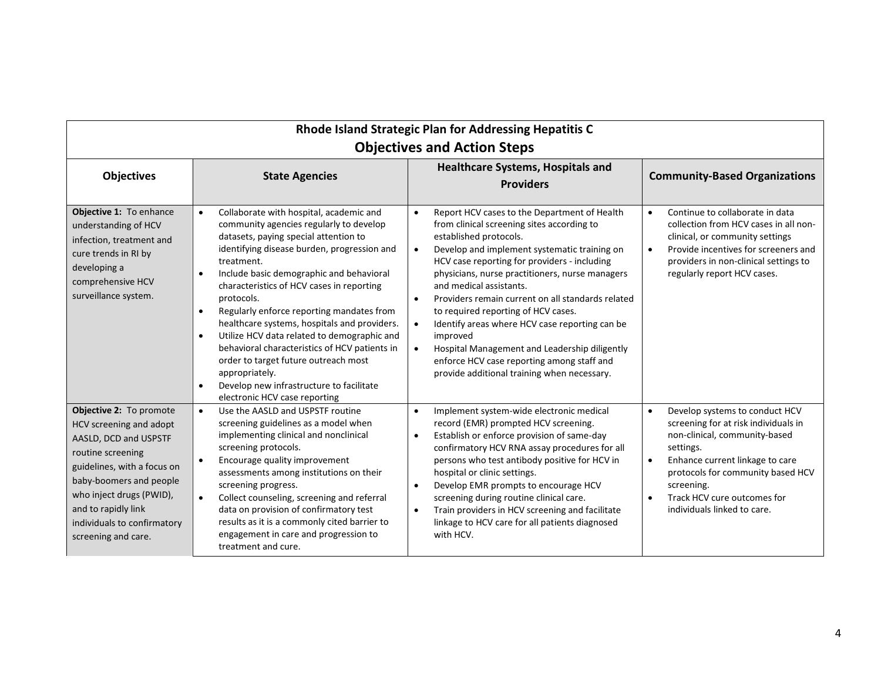| Rhode Island Strategic Plan for Addressing Hepatitis C<br><b>Objectives and Action Steps</b>                                                                                                                                                                        |                                                                                                                                                                                                                                                                                                                                                                                                                                                                                                                                                                                                                                                                                                      |                                                                                                                                                                                                                                                                                                                                                                                                                                                                                                                                                                                                                                                                             |                                                                                                                                                                                                                                                                                                                 |  |  |  |
|---------------------------------------------------------------------------------------------------------------------------------------------------------------------------------------------------------------------------------------------------------------------|------------------------------------------------------------------------------------------------------------------------------------------------------------------------------------------------------------------------------------------------------------------------------------------------------------------------------------------------------------------------------------------------------------------------------------------------------------------------------------------------------------------------------------------------------------------------------------------------------------------------------------------------------------------------------------------------------|-----------------------------------------------------------------------------------------------------------------------------------------------------------------------------------------------------------------------------------------------------------------------------------------------------------------------------------------------------------------------------------------------------------------------------------------------------------------------------------------------------------------------------------------------------------------------------------------------------------------------------------------------------------------------------|-----------------------------------------------------------------------------------------------------------------------------------------------------------------------------------------------------------------------------------------------------------------------------------------------------------------|--|--|--|
| <b>Objectives</b>                                                                                                                                                                                                                                                   | <b>State Agencies</b>                                                                                                                                                                                                                                                                                                                                                                                                                                                                                                                                                                                                                                                                                | <b>Healthcare Systems, Hospitals and</b><br><b>Providers</b>                                                                                                                                                                                                                                                                                                                                                                                                                                                                                                                                                                                                                | <b>Community-Based Organizations</b>                                                                                                                                                                                                                                                                            |  |  |  |
| Objective 1: To enhance<br>understanding of HCV<br>infection, treatment and<br>cure trends in RI by<br>developing a<br>comprehensive HCV<br>surveillance system.                                                                                                    | Collaborate with hospital, academic and<br>$\bullet$<br>community agencies regularly to develop<br>datasets, paying special attention to<br>identifying disease burden, progression and<br>treatment.<br>Include basic demographic and behavioral<br>$\bullet$<br>characteristics of HCV cases in reporting<br>protocols.<br>Regularly enforce reporting mandates from<br>$\bullet$<br>healthcare systems, hospitals and providers.<br>Utilize HCV data related to demographic and<br>$\bullet$<br>behavioral characteristics of HCV patients in<br>order to target future outreach most<br>appropriately.<br>Develop new infrastructure to facilitate<br>$\bullet$<br>electronic HCV case reporting | Report HCV cases to the Department of Health<br>$\bullet$<br>from clinical screening sites according to<br>established protocols.<br>Develop and implement systematic training on<br>$\bullet$<br>HCV case reporting for providers - including<br>physicians, nurse practitioners, nurse managers<br>and medical assistants.<br>Providers remain current on all standards related<br>$\bullet$<br>to required reporting of HCV cases.<br>Identify areas where HCV case reporting can be<br>$\bullet$<br>improved<br>Hospital Management and Leadership diligently<br>$\bullet$<br>enforce HCV case reporting among staff and<br>provide additional training when necessary. | Continue to collaborate in data<br>$\bullet$<br>collection from HCV cases in all non-<br>clinical, or community settings<br>Provide incentives for screeners and<br>$\bullet$<br>providers in non-clinical settings to<br>regularly report HCV cases.                                                           |  |  |  |
| Objective 2: To promote<br>HCV screening and adopt<br>AASLD, DCD and USPSTF<br>routine screening<br>guidelines, with a focus on<br>baby-boomers and people<br>who inject drugs (PWID),<br>and to rapidly link<br>individuals to confirmatory<br>screening and care. | Use the AASLD and USPSTF routine<br>screening guidelines as a model when<br>implementing clinical and nonclinical<br>screening protocols.<br>Encourage quality improvement<br>$\bullet$<br>assessments among institutions on their<br>screening progress.<br>Collect counseling, screening and referral<br>data on provision of confirmatory test<br>results as it is a commonly cited barrier to<br>engagement in care and progression to<br>treatment and cure.                                                                                                                                                                                                                                    | Implement system-wide electronic medical<br>$\bullet$<br>record (EMR) prompted HCV screening.<br>Establish or enforce provision of same-day<br>$\bullet$<br>confirmatory HCV RNA assay procedures for all<br>persons who test antibody positive for HCV in<br>hospital or clinic settings.<br>Develop EMR prompts to encourage HCV<br>$\bullet$<br>screening during routine clinical care.<br>Train providers in HCV screening and facilitate<br>$\bullet$<br>linkage to HCV care for all patients diagnosed<br>with HCV.                                                                                                                                                   | Develop systems to conduct HCV<br>$\bullet$<br>screening for at risk individuals in<br>non-clinical, community-based<br>settings.<br>Enhance current linkage to care<br>$\bullet$<br>protocols for community based HCV<br>screening.<br>Track HCV cure outcomes for<br>$\bullet$<br>individuals linked to care. |  |  |  |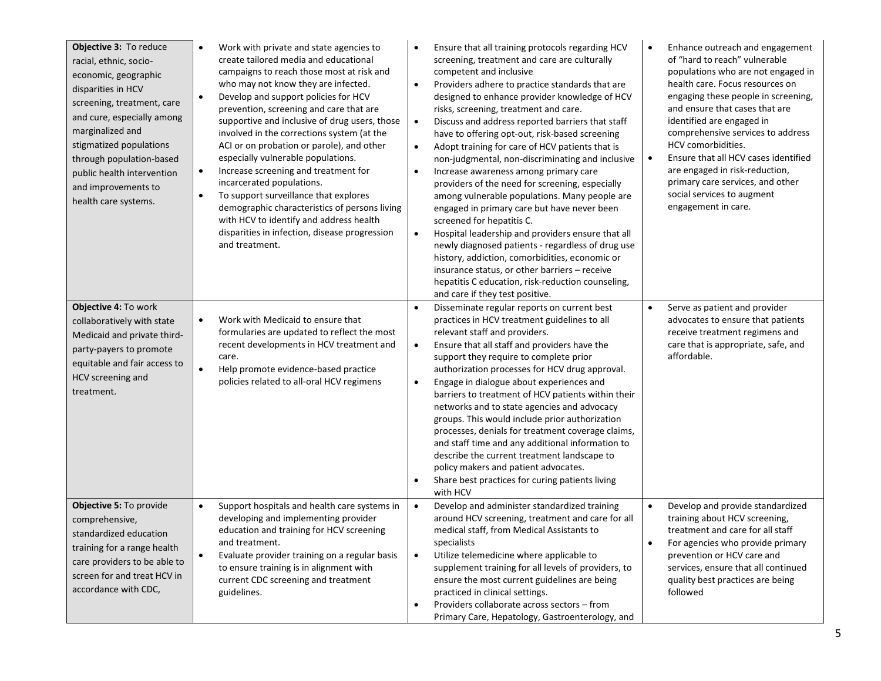| Objective 3: To reduce<br>racial, ethnic, socio-<br>economic, geographic<br>disparities in HCV<br>screening, treatment, care<br>and cure, especially among<br>marginalized and<br>stigmatized populations<br>through population-based<br>public health intervention<br>and improvements to<br>health care systems. | Work with private and state agencies to<br>$\bullet$<br>create tailored media and educational<br>campaigns to reach those most at risk and<br>who may not know they are infected.<br>Develop and support policies for HCV<br>$\bullet$<br>prevention, screening and care that are<br>supportive and inclusive of drug users, those<br>involved in the corrections system (at the<br>ACI or on probation or parole), and other<br>especially vulnerable populations.<br>Increase screening and treatment for<br>$\bullet$<br>incarcerated populations.<br>To support surveillance that explores<br>$\bullet$<br>demographic characteristics of persons living<br>with HCV to identify and address health<br>disparities in infection, disease progression<br>and treatment. | Ensure that all training protocols regarding HCV<br>screening, treatment and care are culturally<br>competent and inclusive<br>$\bullet$<br>Providers adhere to practice standards that are<br>designed to enhance provider knowledge of HCV<br>risks, screening, treatment and care.<br>$\bullet$<br>Discuss and address reported barriers that staff<br>have to offering opt-out, risk-based screening<br>Adopt training for care of HCV patients that is<br>$\bullet$<br>non-judgmental, non-discriminating and inclusive<br>Increase awareness among primary care<br>$\bullet$<br>providers of the need for screening, especially<br>among vulnerable populations. Many people are<br>engaged in primary care but have never been<br>screened for hepatitis C.<br>Hospital leadership and providers ensure that all<br>$\bullet$<br>newly diagnosed patients - regardless of drug use<br>history, addiction, comorbidities, economic or<br>insurance status, or other barriers - receive<br>hepatitis C education, risk-reduction counseling,<br>and care if they test positive. | Enhance outreach and engagement<br>$\bullet$<br>of "hard to reach" vulnerable<br>populations who are not engaged in<br>health care. Focus resources on<br>engaging these people in screening,<br>and ensure that cases that are<br>identified are engaged in<br>comprehensive services to address<br>HCV comorbidities.<br>Ensure that all HCV cases identified<br>$\bullet$<br>are engaged in risk-reduction,<br>primary care services, and other<br>social services to augment<br>engagement in care. |
|--------------------------------------------------------------------------------------------------------------------------------------------------------------------------------------------------------------------------------------------------------------------------------------------------------------------|----------------------------------------------------------------------------------------------------------------------------------------------------------------------------------------------------------------------------------------------------------------------------------------------------------------------------------------------------------------------------------------------------------------------------------------------------------------------------------------------------------------------------------------------------------------------------------------------------------------------------------------------------------------------------------------------------------------------------------------------------------------------------|--------------------------------------------------------------------------------------------------------------------------------------------------------------------------------------------------------------------------------------------------------------------------------------------------------------------------------------------------------------------------------------------------------------------------------------------------------------------------------------------------------------------------------------------------------------------------------------------------------------------------------------------------------------------------------------------------------------------------------------------------------------------------------------------------------------------------------------------------------------------------------------------------------------------------------------------------------------------------------------------------------------------------------------------------------------------------------------|---------------------------------------------------------------------------------------------------------------------------------------------------------------------------------------------------------------------------------------------------------------------------------------------------------------------------------------------------------------------------------------------------------------------------------------------------------------------------------------------------------|
| Objective 4: To work<br>collaboratively with state<br>Medicaid and private third-<br>party-payers to promote<br>equitable and fair access to<br>HCV screening and<br>treatment.                                                                                                                                    | Work with Medicaid to ensure that<br>$\bullet$<br>formularies are updated to reflect the most<br>recent developments in HCV treatment and<br>care.<br>Help promote evidence-based practice<br>$\bullet$<br>policies related to all-oral HCV regimens                                                                                                                                                                                                                                                                                                                                                                                                                                                                                                                       | Disseminate regular reports on current best<br>$\bullet$<br>practices in HCV treatment guidelines to all<br>relevant staff and providers.<br>Ensure that all staff and providers have the<br>$\bullet$<br>support they require to complete prior<br>authorization processes for HCV drug approval.<br>Engage in dialogue about experiences and<br>$\bullet$<br>barriers to treatment of HCV patients within their<br>networks and to state agencies and advocacy<br>groups. This would include prior authorization<br>processes, denials for treatment coverage claims,<br>and staff time and any additional information to<br>describe the current treatment landscape to<br>policy makers and patient advocates.<br>Share best practices for curing patients living<br>$\bullet$<br>with HCV                                                                                                                                                                                                                                                                                       | Serve as patient and provider<br>$\bullet$<br>advocates to ensure that patients<br>receive treatment regimens and<br>care that is appropriate, safe, and<br>affordable.                                                                                                                                                                                                                                                                                                                                 |
| Objective 5: To provide<br>comprehensive,<br>standardized education<br>training for a range health<br>care providers to be able to<br>screen for and treat HCV in<br>accordance with CDC,                                                                                                                          | Support hospitals and health care systems in<br>$\bullet$<br>developing and implementing provider<br>education and training for HCV screening<br>and treatment.<br>Evaluate provider training on a regular basis<br>$\bullet$<br>to ensure training is in alignment with<br>current CDC screening and treatment<br>guidelines.                                                                                                                                                                                                                                                                                                                                                                                                                                             | Develop and administer standardized training<br>$\bullet$<br>around HCV screening, treatment and care for all<br>medical staff, from Medical Assistants to<br>specialists<br>Utilize telemedicine where applicable to<br>$\bullet$<br>supplement training for all levels of providers, to<br>ensure the most current guidelines are being<br>practiced in clinical settings.<br>Providers collaborate across sectors - from<br>$\bullet$<br>Primary Care, Hepatology, Gastroenterology, and                                                                                                                                                                                                                                                                                                                                                                                                                                                                                                                                                                                          | Develop and provide standardized<br>$\bullet$<br>training about HCV screening,<br>treatment and care for all staff<br>For agencies who provide primary<br>prevention or HCV care and<br>services, ensure that all continued<br>quality best practices are being<br>followed                                                                                                                                                                                                                             |